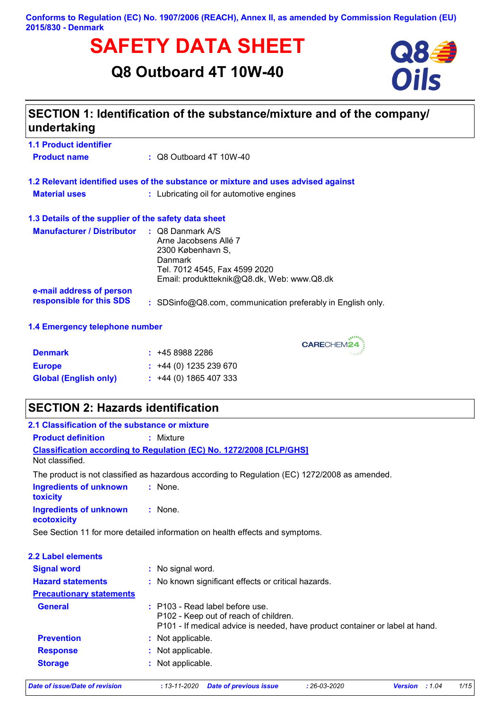# **SAFETY DATA SHEET**<br>
Q8 Outboard 4T 10W-40<br>
Oils

**Q8 Outboard 4T 10W-40**



## **SECTION 1: Identification of the substance/mixture and of the company/ undertaking**

| <b>1.1 Product identifier</b><br><b>Product name</b> | $\therefore$ Q8 Outboard 4T 10W-40                                                                                                                       |
|------------------------------------------------------|----------------------------------------------------------------------------------------------------------------------------------------------------------|
|                                                      | 1.2 Relevant identified uses of the substance or mixture and uses advised against                                                                        |
| <b>Material uses</b>                                 | : Lubricating oil for automotive engines                                                                                                                 |
| 1.3 Details of the supplier of the safety data sheet |                                                                                                                                                          |
| <b>Manufacturer / Distributor</b>                    | : Q8 Danmark A/S<br>Arne Jacobsens Allé 7<br>2300 København S.<br>Danmark<br>Tel. 7012 4545, Fax 4599 2020<br>Email: produktteknik@Q8.dk, Web: www.Q8.dk |
| e-mail address of person<br>responsible for this SDS | : SDSinfo@Q8.com, communication preferably in English only.                                                                                              |

#### **1.4 Emergency telephone number**

| <b>Denmark</b>               | : 4589882286                |
|------------------------------|-----------------------------|
| <b>Europe</b>                | $\div$ +44 (0) 1235 239 670 |
| <b>Global (English only)</b> | $\div$ +44 (0) 1865 407 333 |

## **SECTION 2: Hazards identification**

| 2.1 Classification of the substance or mixture |                                                                                                                                                          |  |  |  |
|------------------------------------------------|----------------------------------------------------------------------------------------------------------------------------------------------------------|--|--|--|
| <b>Product definition</b>                      | : Mixture                                                                                                                                                |  |  |  |
| Not classified.                                | <b>Classification according to Regulation (EC) No. 1272/2008 [CLP/GHS]</b>                                                                               |  |  |  |
|                                                | The product is not classified as hazardous according to Regulation (EC) 1272/2008 as amended.                                                            |  |  |  |
| <b>Ingredients of unknown</b><br>toxicity      | : None.                                                                                                                                                  |  |  |  |
| <b>Ingredients of unknown</b><br>ecotoxicity   | $:$ None.                                                                                                                                                |  |  |  |
|                                                | See Section 11 for more detailed information on health effects and symptoms.                                                                             |  |  |  |
| <b>2.2 Label elements</b>                      |                                                                                                                                                          |  |  |  |
| <b>Signal word</b>                             | : No signal word.                                                                                                                                        |  |  |  |
| <b>Hazard statements</b>                       | : No known significant effects or critical hazards.                                                                                                      |  |  |  |
| <b>Precautionary statements</b>                |                                                                                                                                                          |  |  |  |
| <b>General</b>                                 | : P103 - Read label before use.<br>P102 - Keep out of reach of children.<br>P101 - If medical advice is needed, have product container or label at hand. |  |  |  |
| <b>Prevention</b>                              | : Not applicable.                                                                                                                                        |  |  |  |
| <b>Response</b>                                | : Not applicable.                                                                                                                                        |  |  |  |
|                                                |                                                                                                                                                          |  |  |  |

CARECHEM24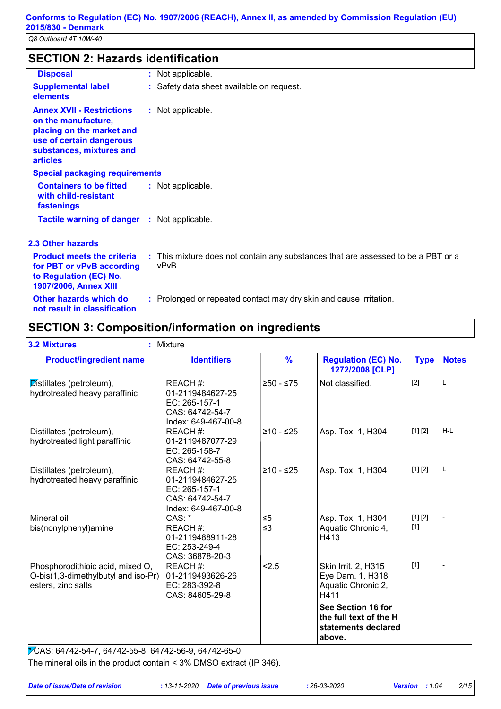## **SECTION 2: Hazards identification**

| <b>Disposal</b>                                                                                                                                                 | : Not applicable.                                                                          |
|-----------------------------------------------------------------------------------------------------------------------------------------------------------------|--------------------------------------------------------------------------------------------|
| <b>Supplemental label</b><br>elements                                                                                                                           | : Safety data sheet available on request.                                                  |
| <b>Annex XVII - Restrictions</b><br>on the manufacture,<br>placing on the market and<br>use of certain dangerous<br>substances, mixtures and<br><b>articles</b> | : Not applicable.                                                                          |
| <b>Special packaging requirements</b>                                                                                                                           |                                                                                            |
| <b>Containers to be fitted</b><br>with child-resistant<br>fastenings                                                                                            | : Not applicable.                                                                          |
| <b>Tactile warning of danger : Not applicable.</b>                                                                                                              |                                                                                            |
| <b>2.3 Other hazards</b>                                                                                                                                        |                                                                                            |
| <b>Product meets the criteria</b><br>for PBT or vPvB according<br>to Regulation (EC) No.<br><b>1907/2006, Annex XIII</b>                                        | : This mixture does not contain any substances that are assessed to be a PBT or a<br>vPvB. |
| Other hazards which do<br>not result in classification                                                                                                          | : Prolonged or repeated contact may dry skin and cause irritation.                         |

## **SECTION 3: Composition/information on ingredients**

| <b>Product/ingredient name</b>                                                                | <b>Identifiers</b>                                                                      | $\frac{9}{6}$        | <b>Regulation (EC) No.</b><br>1272/2008 [CLP]                                 | <b>Type</b>      | <b>Notes</b> |
|-----------------------------------------------------------------------------------------------|-----------------------------------------------------------------------------------------|----------------------|-------------------------------------------------------------------------------|------------------|--------------|
| Distillates (petroleum),<br>hydrotreated heavy paraffinic                                     | REACH #:<br>01-2119484627-25<br>EC: 265-157-1<br>CAS: 64742-54-7<br>Index: 649-467-00-8 | ≥50 - ≤75            | Not classified.                                                               | [2]              | L            |
| Distillates (petroleum),<br>hydrotreated light paraffinic                                     | REACH #:<br>01-2119487077-29<br>EC: 265-158-7<br>CAS: 64742-55-8                        | l≥10 - ≤25           | Asp. Tox. 1, H304                                                             | [1] [2]          | H-L          |
| Distillates (petroleum),<br>hydrotreated heavy paraffinic                                     | REACH #:<br>01-2119484627-25<br>EC: 265-157-1<br>CAS: 64742-54-7<br>Index: 649-467-00-8 | l≥10 - ≤25           | Asp. Tox. 1, H304                                                             | [1] [2]          | L            |
| Mineral oil<br>bis(nonylphenyl)amine                                                          | CAS:<br>REACH #:<br>01-2119488911-28<br>EC: 253-249-4<br>CAS: 36878-20-3                | $\leq 5$<br>$\leq$ 3 | Asp. Tox. 1, H304<br>Aquatic Chronic 4,<br>H413                               | [1] [2]<br>$[1]$ |              |
| Phosphorodithioic acid, mixed O,<br>O-bis(1,3-dimethylbutyl and iso-Pr)<br>esters, zinc salts | REACH #:<br>01-2119493626-26<br>EC: 283-392-8<br>CAS: 84605-29-8                        | 2.5                  | Skin Irrit. 2, H315<br>Eye Dam. 1, H318<br>Aquatic Chronic 2,<br>H411         | $[1]$            |              |
|                                                                                               |                                                                                         |                      | See Section 16 for<br>the full text of the H<br>statements declared<br>above. |                  |              |

\* CAS: 64742-54-7, 64742-55-8, 64742-56-9, 64742-65-0 The mineral oils in the product contain < 3% DMSO extract (IP 346).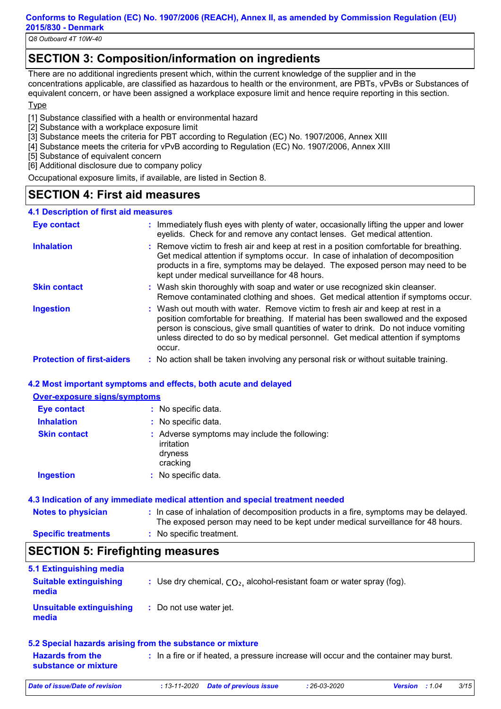*Q8 Outboard 4T 10W-40*

## **SECTION 3: Composition/information on ingredients**

There are no additional ingredients present which, within the current knowledge of the supplier and in the concentrations applicable, are classified as hazardous to health or the environment, are PBTs, vPvBs or Substances of equivalent concern, or have been assigned a workplace exposure limit and hence require reporting in this section.

#### **Type**

[1] Substance classified with a health or environmental hazard

- [2] Substance with a workplace exposure limit
- [3] Substance meets the criteria for PBT according to Regulation (EC) No. 1907/2006, Annex XIII
- [4] Substance meets the criteria for vPvB according to Regulation (EC) No. 1907/2006, Annex XIII
- [5] Substance of equivalent concern
- [6] Additional disclosure due to company policy

Occupational exposure limits, if available, are listed in Section 8.

## **SECTION 4: First aid measures**

#### **4.1 Description of first aid measures**

| <b>Eye contact</b>                | : Immediately flush eyes with plenty of water, occasionally lifting the upper and lower<br>eyelids. Check for and remove any contact lenses. Get medical attention.                                                                                                                                                                                       |
|-----------------------------------|-----------------------------------------------------------------------------------------------------------------------------------------------------------------------------------------------------------------------------------------------------------------------------------------------------------------------------------------------------------|
| <b>Inhalation</b>                 | : Remove victim to fresh air and keep at rest in a position comfortable for breathing.<br>Get medical attention if symptoms occur. In case of inhalation of decomposition<br>products in a fire, symptoms may be delayed. The exposed person may need to be<br>kept under medical surveillance for 48 hours.                                              |
| <b>Skin contact</b>               | : Wash skin thoroughly with soap and water or use recognized skin cleanser.<br>Remove contaminated clothing and shoes. Get medical attention if symptoms occur.                                                                                                                                                                                           |
| <b>Ingestion</b>                  | : Wash out mouth with water. Remove victim to fresh air and keep at rest in a<br>position comfortable for breathing. If material has been swallowed and the exposed<br>person is conscious, give small quantities of water to drink. Do not induce vomiting<br>unless directed to do so by medical personnel. Get medical attention if symptoms<br>occur. |
| <b>Protection of first-aiders</b> | : No action shall be taken involving any personal risk or without suitable training.                                                                                                                                                                                                                                                                      |

#### **4.2 Most important symptoms and effects, both acute and delayed**

#### **Over-exposure signs/symptoms**

| Eye contact         | : No specific data.                                                                |
|---------------------|------------------------------------------------------------------------------------|
| <b>Inhalation</b>   | : No specific data.                                                                |
| <b>Skin contact</b> | : Adverse symptoms may include the following:<br>irritation<br>dryness<br>cracking |
| <b>Ingestion</b>    | : No specific data.                                                                |

#### **4.3 Indication of any immediate medical attention and special treatment needed**

| <b>Notes to physician</b>  | : In case of inhalation of decomposition products in a fire, symptoms may be delayed.<br>The exposed person may need to be kept under medical surveillance for 48 hours. |
|----------------------------|--------------------------------------------------------------------------------------------------------------------------------------------------------------------------|
| <b>Specific treatments</b> | : No specific treatment.                                                                                                                                                 |

## **SECTION 5: Firefighting measures**

| 5.1 Extinguishing media<br><b>Suitable extinguishing</b><br>media | : Use dry chemical, $CO2$ , alcohol-resistant foam or water spray (fog). |
|-------------------------------------------------------------------|--------------------------------------------------------------------------|
| Unsuitable extinguishing<br>media                                 | : Do not use water jet.                                                  |
|                                                                   | 5.2 Special hazards arising from the substance or mixture                |

| <b>Hazards from the</b><br>substance or mixture | : In a fire or if heated, a pressure increase will occur and the container may burst. |
|-------------------------------------------------|---------------------------------------------------------------------------------------|
|                                                 |                                                                                       |

*Date of issue/Date of revision* **:** *13-11-2020 Date of previous issue : 26-03-2020 Version : 1.04 3/15*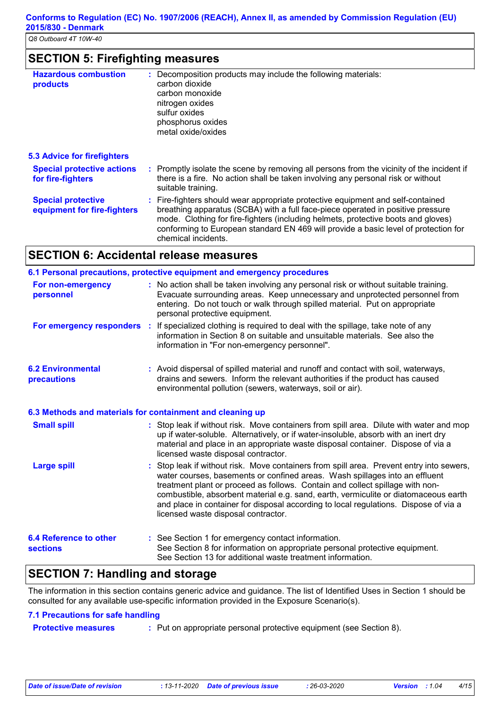## **SECTION 5: Firefighting measures**

| <b>Hazardous combustion</b><br>products                  | : Decomposition products may include the following materials:<br>carbon dioxide<br>carbon monoxide<br>nitrogen oxides<br>sulfur oxides<br>phosphorus oxides<br>metal oxide/oxides                                                                                                                                                                                     |
|----------------------------------------------------------|-----------------------------------------------------------------------------------------------------------------------------------------------------------------------------------------------------------------------------------------------------------------------------------------------------------------------------------------------------------------------|
| <b>5.3 Advice for firefighters</b>                       |                                                                                                                                                                                                                                                                                                                                                                       |
| <b>Special protective actions</b><br>for fire-fighters   | : Promptly isolate the scene by removing all persons from the vicinity of the incident if<br>there is a fire. No action shall be taken involving any personal risk or without<br>suitable training.                                                                                                                                                                   |
| <b>Special protective</b><br>equipment for fire-fighters | : Fire-fighters should wear appropriate protective equipment and self-contained<br>breathing apparatus (SCBA) with a full face-piece operated in positive pressure<br>mode. Clothing for fire-fighters (including helmets, protective boots and gloves)<br>conforming to European standard EN 469 will provide a basic level of protection for<br>chemical incidents. |

## **SECTION 6: Accidental release measures**

|                                                           | 6.1 Personal precautions, protective equipment and emergency procedures                                                                                                                                                                                                                                                                                                                                                                                                        |
|-----------------------------------------------------------|--------------------------------------------------------------------------------------------------------------------------------------------------------------------------------------------------------------------------------------------------------------------------------------------------------------------------------------------------------------------------------------------------------------------------------------------------------------------------------|
| For non-emergency<br>personnel                            | : No action shall be taken involving any personal risk or without suitable training.<br>Evacuate surrounding areas. Keep unnecessary and unprotected personnel from<br>entering. Do not touch or walk through spilled material. Put on appropriate<br>personal protective equipment.                                                                                                                                                                                           |
|                                                           | For emergency responders : If specialized clothing is required to deal with the spillage, take note of any<br>information in Section 8 on suitable and unsuitable materials. See also the<br>information in "For non-emergency personnel".                                                                                                                                                                                                                                     |
| <b>6.2 Environmental</b><br>precautions                   | : Avoid dispersal of spilled material and runoff and contact with soil, waterways,<br>drains and sewers. Inform the relevant authorities if the product has caused<br>environmental pollution (sewers, waterways, soil or air).                                                                                                                                                                                                                                                |
| 6.3 Methods and materials for containment and cleaning up |                                                                                                                                                                                                                                                                                                                                                                                                                                                                                |
| <b>Small spill</b>                                        | : Stop leak if without risk. Move containers from spill area. Dilute with water and mop<br>up if water-soluble. Alternatively, or if water-insoluble, absorb with an inert dry<br>material and place in an appropriate waste disposal container. Dispose of via a<br>licensed waste disposal contractor.                                                                                                                                                                       |
| <b>Large spill</b>                                        | : Stop leak if without risk. Move containers from spill area. Prevent entry into sewers,<br>water courses, basements or confined areas. Wash spillages into an effluent<br>treatment plant or proceed as follows. Contain and collect spillage with non-<br>combustible, absorbent material e.g. sand, earth, vermiculite or diatomaceous earth<br>and place in container for disposal according to local regulations. Dispose of via a<br>licensed waste disposal contractor. |
| <b>6.4 Reference to other</b><br><b>sections</b>          | : See Section 1 for emergency contact information.<br>See Section 8 for information on appropriate personal protective equipment.<br>See Section 13 for additional waste treatment information.                                                                                                                                                                                                                                                                                |
| АГАТІАН 7. Н.                                             | منائط المتمريض ومرا                                                                                                                                                                                                                                                                                                                                                                                                                                                            |

## **SECTION 7: Handling and storage**

The information in this section contains generic advice and guidance. The list of Identified Uses in Section 1 should be consulted for any available use-specific information provided in the Exposure Scenario(s).

#### **7.1 Precautions for safe handling**

**Protective measures :** Put on appropriate personal protective equipment (see Section 8).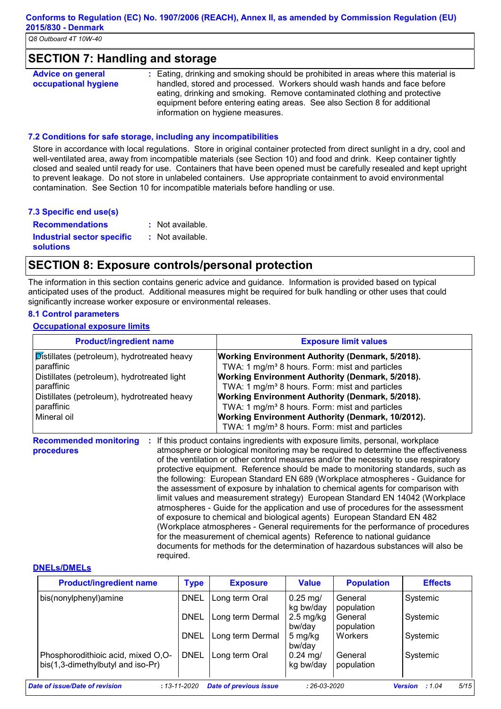### **SECTION 7: Handling and storage**

| <b>Advice on general</b> | : Eating, drinking and smoking should be prohibited in areas where this material is |
|--------------------------|-------------------------------------------------------------------------------------|
| occupational hygiene     | handled, stored and processed. Workers should wash hands and face before            |
|                          | eating, drinking and smoking. Remove contaminated clothing and protective           |
|                          | equipment before entering eating areas. See also Section 8 for additional           |
|                          | information on hygiene measures.                                                    |

#### **7.2 Conditions for safe storage, including any incompatibilities**

Store in accordance with local regulations. Store in original container protected from direct sunlight in a dry, cool and well-ventilated area, away from incompatible materials (see Section 10) and food and drink. Keep container tightly closed and sealed until ready for use. Containers that have been opened must be carefully resealed and kept upright to prevent leakage. Do not store in unlabeled containers. Use appropriate containment to avoid environmental contamination. See Section 10 for incompatible materials before handling or use.

#### **7.3 Specific end use(s)**

| <b>Recommendations</b>                                | : Not available. |
|-------------------------------------------------------|------------------|
| <b>Industrial sector specific</b><br><b>solutions</b> | : Not available. |

## **SECTION 8: Exposure controls/personal protection**

The information in this section contains generic advice and guidance. Information is provided based on typical anticipated uses of the product. Additional measures might be required for bulk handling or other uses that could significantly increase worker exposure or environmental releases.

#### **8.1 Control parameters**

#### **Occupational exposure limits**

| <b>Product/ingredient name</b>                                                                                                                                        | <b>Exposure limit values</b>                                                                                                                                                                                                                                                                              |
|-----------------------------------------------------------------------------------------------------------------------------------------------------------------------|-----------------------------------------------------------------------------------------------------------------------------------------------------------------------------------------------------------------------------------------------------------------------------------------------------------|
| Distillates (petroleum), hydrotreated heavy<br>paraffinic<br>Distillates (petroleum), hydrotreated light<br>paraffinic<br>Distillates (petroleum), hydrotreated heavy | <b>Working Environment Authority (Denmark, 5/2018).</b><br>TWA: 1 mg/m <sup>3</sup> 8 hours. Form: mist and particles<br><b>Working Environment Authority (Denmark, 5/2018).</b><br>TWA: 1 mg/m <sup>3</sup> 8 hours. Form: mist and particles<br><b>Working Environment Authority (Denmark, 5/2018).</b> |
| paraffinic<br>Mineral oil                                                                                                                                             | TWA: 1 mg/m <sup>3</sup> 8 hours. Form: mist and particles<br><b>Working Environment Authority (Denmark, 10/2012).</b><br>TWA: 1 mg/m <sup>3</sup> 8 hours. Form: mist and particles                                                                                                                      |

**Recommended monitoring procedures :** If this product contains ingredients with exposure limits, personal, workplace atmosphere or biological monitoring may be required to determine the effectiveness of the ventilation or other control measures and/or the necessity to use respiratory protective equipment. Reference should be made to monitoring standards, such as the following: European Standard EN 689 (Workplace atmospheres - Guidance for the assessment of exposure by inhalation to chemical agents for comparison with limit values and measurement strategy) European Standard EN 14042 (Workplace atmospheres - Guide for the application and use of procedures for the assessment of exposure to chemical and biological agents) European Standard EN 482 (Workplace atmospheres - General requirements for the performance of procedures for the measurement of chemical agents) Reference to national guidance documents for methods for the determination of hazardous substances will also be required.

#### **DNELs/DMELs**

| <b>Product/ingredient name</b>                                          | <b>Type</b> | <b>Exposure</b>  | <b>Value</b>                   | <b>Population</b>     | <b>Effects</b> |
|-------------------------------------------------------------------------|-------------|------------------|--------------------------------|-----------------------|----------------|
| bis(nonylphenyl)amine                                                   | <b>DNEL</b> | Long term Oral   | $0.25$ mg/<br>kg bw/day        | General<br>population | Systemic       |
|                                                                         | <b>DNEL</b> | Long term Dermal | $2.5 \text{ mg/kg}$<br>bw/day  | General<br>population | Systemic       |
|                                                                         | <b>DNEL</b> | Long term Dermal | 5 mg/kg<br>bw/day              | Workers               | Systemic       |
| Phosphorodithioic acid, mixed O,O-<br>bis(1,3-dimethylbutyl and iso-Pr) | <b>DNEL</b> | Long term Oral   | $0.24 \text{ mg}$<br>kg bw/day | General<br>population | Systemic       |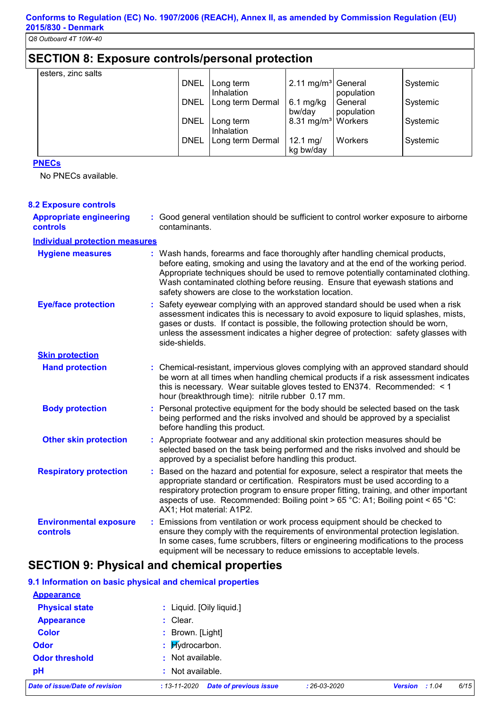## **SECTION 8: Exposure controls/personal protection**

| esters, zinc salts |             |                         |                                  |                       |          |
|--------------------|-------------|-------------------------|----------------------------------|-----------------------|----------|
|                    | <b>DNEL</b> | Long term<br>Inhalation | 2.11 mg/m <sup>3</sup> General   | population            | Systemic |
|                    | <b>DNEL</b> | Long term Dermal        | $6.1$ mg/kg<br>bw/day            | General<br>population | Systemic |
|                    | <b>DNEL</b> | Long term<br>Inhalation | 8.31 mg/m <sup>3</sup>   Workers |                       | Systemic |
|                    | <b>DNEL</b> | Long term Dermal        | 12.1 mg/<br>kg bw/day            | Workers               | Systemic |

#### **PNECs**

No PNECs available.

#### **Hand protection** Based on the hazard and potential for exposure, select a respirator that meets the appropriate standard or certification. Respirators must be used according to a respiratory protection program to ensure proper fitting, training, and other important aspects of use. Recommended: Boiling point > 65 °C: A1; Boiling point < 65 °C: AX1; Hot material: A1P2. Chemical-resistant, impervious gloves complying with an approved standard should **:** be worn at all times when handling chemical products if a risk assessment indicates this is necessary. Wear suitable gloves tested to EN374. Recommended: < 1 hour (breakthrough time): nitrile rubber 0.17 mm. Safety eyewear complying with an approved standard should be used when a risk **:** assessment indicates this is necessary to avoid exposure to liquid splashes, mists, gases or dusts. If contact is possible, the following protection should be worn, unless the assessment indicates a higher degree of protection: safety glasses with side-shields. **Eye/face protection Respiratory protection : Skin protection** Personal protective equipment for the body should be selected based on the task being performed and the risks involved and should be approved by a specialist before handling this product. **Other skin protection :** Appropriate footwear and any additional skin protection measures should be **Environmental exposure controls :** Emissions from ventilation or work process equipment should be checked to ensure they comply with the requirements of environmental protection legislation. In some cases, fume scrubbers, filters or engineering modifications to the process equipment will be necessary to reduce emissions to acceptable levels. **Appropriate engineering controls :** Good general ventilation should be sufficient to control worker exposure to airborne contaminants. : Wash hands, forearms and face thoroughly after handling chemical products, before eating, smoking and using the lavatory and at the end of the working period. Appropriate techniques should be used to remove potentially contaminated clothing. Wash contaminated clothing before reusing. Ensure that eyewash stations and safety showers are close to the workstation location. **8.2 Exposure controls Hygiene measures : Individual protection measures Body protection :** selected based on the task being performed and the risks involved and should be approved by a specialist before handling this product.

## **SECTION 9: Physical and chemical properties**

#### **9.1 Information on basic physical and chemical properties**

| Date of issue/Date of revision | <b>Date of previous issue</b><br>$: 13 - 11 - 2020$ | $: 26 - 03 - 2020$ | <b>Version</b><br>:1.04 | 6/15 |
|--------------------------------|-----------------------------------------------------|--------------------|-------------------------|------|
| pH                             | : Not available.                                    |                    |                         |      |
| <b>Odor threshold</b>          | : Not available.                                    |                    |                         |      |
| <b>Odor</b>                    | : Hydrocarbon.                                      |                    |                         |      |
| <b>Color</b>                   | : Brown. [Light]                                    |                    |                         |      |
| <b>Appearance</b>              | $:$ Clear.                                          |                    |                         |      |
| <b>Physical state</b>          | : Liquid. [Oily liquid.]                            |                    |                         |      |
| <b>Appearance</b>              |                                                     |                    |                         |      |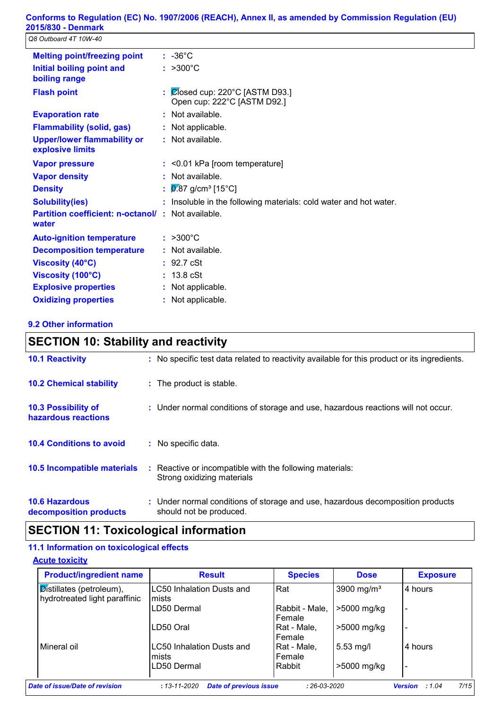*Q8 Outboard 4T 10W-40*

| <b>Melting point/freezing point</b>                        | $: -36^{\circ}$ C                                                                    |
|------------------------------------------------------------|--------------------------------------------------------------------------------------|
| Initial boiling point and<br>boiling range                 | $: >300^{\circ}C$                                                                    |
| <b>Flash point</b>                                         | $\frac{1}{2}$ $\sqrt{2}$ (osed cup: 220°C [ASTM D93.]<br>Open cup: 222°C [ASTM D92.] |
| <b>Evaporation rate</b>                                    | : Not available.                                                                     |
| <b>Flammability (solid, gas)</b>                           | : Not applicable.                                                                    |
| <b>Upper/lower flammability or</b><br>explosive limits     | $:$ Not available.                                                                   |
| <b>Vapor pressure</b>                                      | $:$ <0.01 kPa [room temperature]                                                     |
| <b>Vapor density</b>                                       | : Not available.                                                                     |
| <b>Density</b>                                             | : $\boxed{0.87}$ g/cm <sup>3</sup> [15°C]                                            |
| <b>Solubility(ies)</b>                                     | : Insoluble in the following materials: cold water and hot water.                    |
| Partition coefficient: n-octanol/: Not available.<br>water |                                                                                      |
| <b>Auto-ignition temperature</b>                           | $: >300^{\circ}C$                                                                    |
| <b>Decomposition temperature</b>                           | : Not available.                                                                     |
| Viscosity (40°C)                                           | : 92.7 cSt                                                                           |
| Viscosity (100°C)                                          | $: 13.8 \text{ cSt}$                                                                 |
| <b>Explosive properties</b>                                | : Not applicable.                                                                    |
| <b>Oxidizing properties</b>                                | : Not applicable.                                                                    |

#### **9.2 Other information**

## **SECTION 10: Stability and reactivity**

| <b>10.1 Reactivity</b>                            | : No specific test data related to reactivity available for this product or its ingredients.              |
|---------------------------------------------------|-----------------------------------------------------------------------------------------------------------|
| <b>10.2 Chemical stability</b>                    | : The product is stable.                                                                                  |
| <b>10.3 Possibility of</b><br>hazardous reactions | : Under normal conditions of storage and use, hazardous reactions will not occur.                         |
| <b>10.4 Conditions to avoid</b>                   | : No specific data.                                                                                       |
| <b>10.5 Incompatible materials</b>                | : Reactive or incompatible with the following materials:<br>Strong oxidizing materials                    |
| <b>10.6 Hazardous</b><br>decomposition products   | : Under normal conditions of storage and use, hazardous decomposition products<br>should not be produced. |

## **SECTION 11: Toxicological information**

#### **11.1 Information on toxicological effects**

**Acute toxicity**

|                                     | <b>Product/ingredient name</b><br><b>Species</b><br><b>Result</b> |                        | <b>Exposure</b> |  |
|-------------------------------------|-------------------------------------------------------------------|------------------------|-----------------|--|
| LC50 Inhalation Dusts and<br>lmists | Rat                                                               | 3900 mg/m <sup>3</sup> | 4 hours         |  |
| LD50 Dermal                         | Rabbit - Male.<br>Female                                          | >5000 mg/kg            |                 |  |
| LD50 Oral                           | Rat - Male,<br>Female                                             | >5000 mg/kg            |                 |  |
| LC50 Inhalation Dusts and<br>mists  | Rat - Male,<br>Female                                             | $5.53 \,\mathrm{mg/l}$ | 4 hours         |  |
| LD50 Dermal                         | Rabbit                                                            | >5000 mg/kg            |                 |  |
|                                     |                                                                   |                        |                 |  |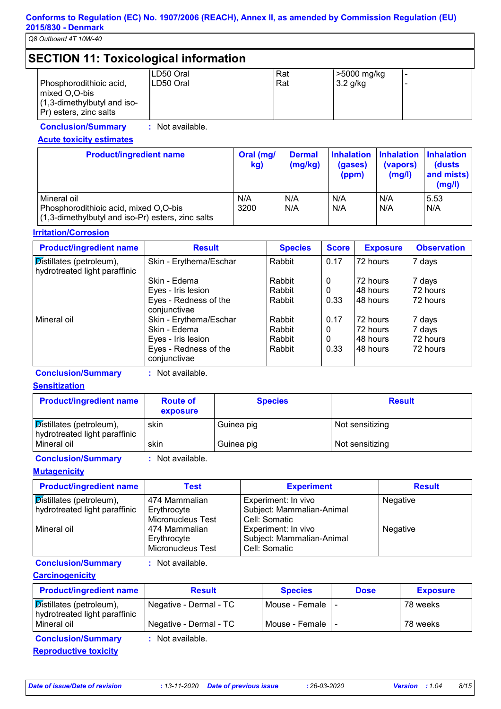*Q8 Outboard 4T 10W-40*

#### **SECTION 11: Toxicological information**  $\vert$ LD50 Oral  $\vert$ Rat  $\vert$ >5000 mg/kg Phosphorodithioic acid, mixed O,O-bis (1,3-dimethylbutyl and iso-Pr) esters, zinc salts LD50 Oral Rat 3.2 g/kg

**Conclusion/Summary :** Not available.

### **Acute toxicity estimates**

| <b>Product/ingredient name</b>                                                                                 | Oral (mg/<br>kg) | <b>Dermal</b><br>(mg/kg) | <b>Inhalation</b><br>(gases)<br>(ppm) | (vapors)<br>(mg/l) | <b>Inhalation Inhalation</b><br>(dusts<br>and mists)<br>(mg/l) |
|----------------------------------------------------------------------------------------------------------------|------------------|--------------------------|---------------------------------------|--------------------|----------------------------------------------------------------|
| l Mineral oil<br>Phosphorodithioic acid, mixed O,O-bis<br>$(1,3$ -dimethylbutyl and iso-Pr) esters, zinc salts | N/A<br>3200      | N/A<br>N/A               | N/A<br>N/A                            | N/A<br>N/A         | 5.53<br>N/A                                                    |

#### **Irritation/Corrosion**

| <b>Product/ingredient name</b>                            | <b>Result</b>                         | <b>Species</b> | <b>Score</b> | <b>Exposure</b> | <b>Observation</b> |
|-----------------------------------------------------------|---------------------------------------|----------------|--------------|-----------------|--------------------|
| Distillates (petroleum),<br>hydrotreated light paraffinic | Skin - Erythema/Eschar                | Rabbit         | 0.17         | 72 hours        | 7 days             |
|                                                           | Skin - Edema                          | Rabbit         | 0            | 172 hours       | 7 days             |
|                                                           | Eyes - Iris lesion                    | Rabbit         | 0            | l48 hours       | 72 hours           |
|                                                           | Eyes - Redness of the<br>conjunctivae | Rabbit         | 0.33         | 48 hours        | 72 hours           |
| Mineral oil                                               | Skin - Erythema/Eschar                | Rabbit         | 0.17         | 72 hours        | 7 days             |
|                                                           | Skin - Edema                          | Rabbit         | 0            | 72 hours        | 7 days             |
|                                                           | Eyes - Iris lesion                    | Rabbit         | 0            | l48 hours       | 72 hours           |
|                                                           | Eyes - Redness of the<br>conjunctivae | Rabbit         | 0.33         | l48 hours       | 72 hours           |

#### **Conclusion/Summary :** Not available.

#### **Sensitization**

| <b>Product/ingredient name</b>                                         | <b>Route of</b><br>exposure | <b>Species</b> | <b>Result</b>   |
|------------------------------------------------------------------------|-----------------------------|----------------|-----------------|
| $\mathcal{D}$ istillates (petroleum),<br>hydrotreated light paraffinic | skin                        | Guinea pig     | Not sensitizing |
| Mineral oil                                                            | skin                        | Guinea pig     | Not sensitizing |

#### **Conclusion/Summary :** Not available.

**Mutagenicity**

| <b>Product/ingredient name</b>                            | Test                                                     | <b>Experiment</b>                                                 | <b>Result</b> |
|-----------------------------------------------------------|----------------------------------------------------------|-------------------------------------------------------------------|---------------|
| Distillates (petroleum),<br>hydrotreated light paraffinic | 474 Mammalian<br>Erythrocyte<br><b>Micronucleus Test</b> | Experiment: In vivo<br>Subject: Mammalian-Animal<br>Cell: Somatic | Negative      |
| Mineral oil                                               | 474 Mammalian<br>Erythrocyte<br><b>Micronucleus Test</b> | Experiment: In vivo<br>Subject: Mammalian-Animal<br>Cell: Somatic | Negative      |

**Conclusion/Summary :** Not available.

**Carcinogenicity**

| <b>Product/ingredient name</b>                                            | <b>Result</b>          | <b>Species</b>     | <b>Dose</b> | <b>Exposure</b> |
|---------------------------------------------------------------------------|------------------------|--------------------|-------------|-----------------|
| $\sqrt{\text{Distillates}}$ (petroleum),<br>hydrotreated light paraffinic | Negative - Dermal - TC | Mouse - Female     |             | 78 weeks        |
| Mineral oil                                                               | Negative - Dermal - TC | Mouse - Female   - |             | 78 weeks        |
| <b>Conclusion/Summary</b>                                                 | : Not available.       |                    |             |                 |

**Reproductive toxicity**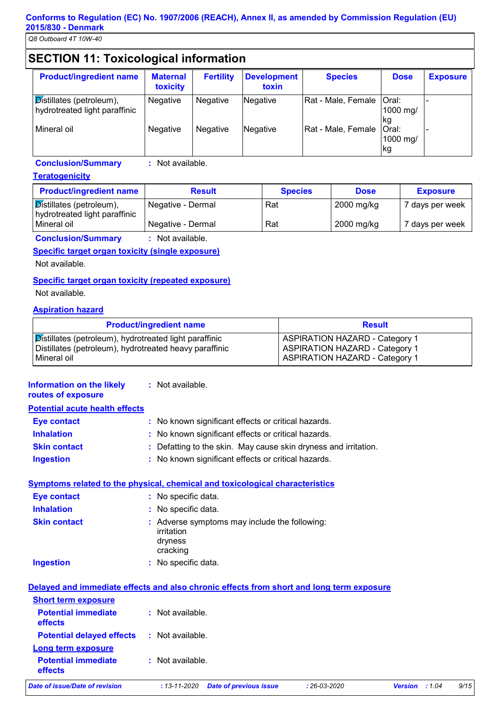*Q8 Outboard 4T 10W-40*

## **SECTION 11: Toxicological information**

| <b>Product/ingredient name</b>                            | <b>Maternal</b><br>toxicity | <b>Fertility</b> | Development<br>toxin | <b>Species</b>     | <b>Dose</b>                    | <b>Exposure</b> |
|-----------------------------------------------------------|-----------------------------|------------------|----------------------|--------------------|--------------------------------|-----------------|
| Distillates (petroleum),<br>hydrotreated light paraffinic | Negative                    | Negative         | <b>Negative</b>      | Rat - Male, Female | <b>Oral:</b><br>1000 mg/<br>kg |                 |
| Mineral oil                                               | Negative                    | Negative         | <b>Negative</b>      | Rat - Male, Female | Oral:<br>1000 mg/<br>kg        |                 |

### **Conclusion/Summary :** Not available.

#### **Teratogenicity**

| <b>Product/ingredient name</b>                            | <b>Result</b>     | <b>Species</b> | <b>Dose</b> | <b>Exposure</b> |
|-----------------------------------------------------------|-------------------|----------------|-------------|-----------------|
| Distillates (petroleum),<br>hydrotreated light paraffinic | Negative - Dermal | Rat            | 2000 mg/kg  | 7 days per week |
| Mineral oil                                               | Negative - Dermal | Rat            | 2000 mg/kg  | 7 days per week |
| $\sim$ $\sim$ $\sim$ $\sim$ $\sim$                        |                   |                |             |                 |

**Conclusion/Summary :** Not available.

#### **Specific target organ toxicity (single exposure)**

Not available.

#### **Specific target organ toxicity (repeated exposure)**

Not available.

#### **Aspiration hazard**

| <b>Product/ingredient name</b>                                | <b>Result</b>                         |
|---------------------------------------------------------------|---------------------------------------|
| <b>Distillates (petroleum), hydrotreated light paraffinic</b> | <b>ASPIRATION HAZARD - Category 1</b> |
| Distillates (petroleum), hydrotreated heavy paraffinic        | <b>ASPIRATION HAZARD - Category 1</b> |
| l Mineral oil                                                 | <b>ASPIRATION HAZARD - Category 1</b> |

#### **Information on the likely routes of exposure**

| <b>Potential acute health effects</b> |                                                                 |
|---------------------------------------|-----------------------------------------------------------------|
| <b>Eye contact</b>                    | : No known significant effects or critical hazards.             |
| <b>Inhalation</b>                     | : No known significant effects or critical hazards.             |
| <b>Skin contact</b>                   | : Defatting to the skin. May cause skin dryness and irritation. |
| <b>Ingestion</b>                      | : No known significant effects or critical hazards.             |

#### **Symptoms related to the physical, chemical and toxicological characteristics**

Not available. **:**

| <b>Eye contact</b>  | : No specific data.                                                                |
|---------------------|------------------------------------------------------------------------------------|
| <b>Inhalation</b>   | : No specific data.                                                                |
| <b>Skin contact</b> | : Adverse symptoms may include the following:<br>irritation<br>dryness<br>cracking |
| <b>Ingestion</b>    | : No specific data.                                                                |

#### **Delayed and immediate effects and also chronic effects from short and long term exposure Short term exposure Long term exposure Potential immediate effects Potential delayed effects : :** Not available. **Potential immediate effects :** Not available. : Not available.

*Date of issue/Date of revision* **:** *13-11-2020 Date of previous issue : 26-03-2020 Version : 1.04 9/15*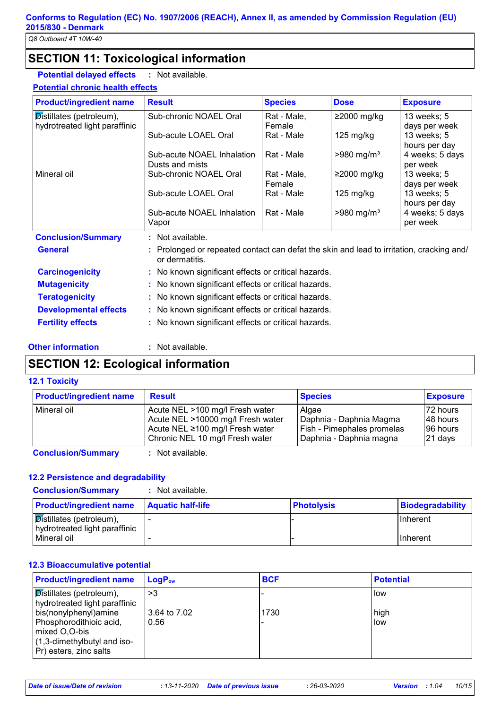## **SECTION 11: Toxicological information**

**Potential delayed effects :** : Not available.

**Potential chronic health effects**

| <b>Result</b>                                                                                              | <b>Species</b>                                                                                               | <b>Dose</b>                                                     | <b>Exposure</b>                                                                                                                                                                                                                                                   |  |
|------------------------------------------------------------------------------------------------------------|--------------------------------------------------------------------------------------------------------------|-----------------------------------------------------------------|-------------------------------------------------------------------------------------------------------------------------------------------------------------------------------------------------------------------------------------------------------------------|--|
| Sub-chronic NOAEL Oral                                                                                     | Rat - Male,                                                                                                  | $≥2000$ mg/kg                                                   | 13 weeks; 5                                                                                                                                                                                                                                                       |  |
|                                                                                                            |                                                                                                              |                                                                 | days per week                                                                                                                                                                                                                                                     |  |
|                                                                                                            |                                                                                                              |                                                                 | 13 weeks; 5                                                                                                                                                                                                                                                       |  |
|                                                                                                            |                                                                                                              |                                                                 | hours per day<br>4 weeks; 5 days                                                                                                                                                                                                                                  |  |
|                                                                                                            |                                                                                                              |                                                                 | per week                                                                                                                                                                                                                                                          |  |
| Sub-chronic NOAEL Oral                                                                                     |                                                                                                              |                                                                 | 13 weeks; 5                                                                                                                                                                                                                                                       |  |
|                                                                                                            | Female                                                                                                       |                                                                 | days per week                                                                                                                                                                                                                                                     |  |
| Sub-acute LOAEL Oral                                                                                       | Rat - Male                                                                                                   | $125 \text{ mg/kg}$                                             | 13 weeks; 5                                                                                                                                                                                                                                                       |  |
|                                                                                                            |                                                                                                              |                                                                 | hours per day                                                                                                                                                                                                                                                     |  |
|                                                                                                            |                                                                                                              |                                                                 | 4 weeks; 5 days                                                                                                                                                                                                                                                   |  |
|                                                                                                            |                                                                                                              |                                                                 | per week                                                                                                                                                                                                                                                          |  |
| : Not available.                                                                                           |                                                                                                              |                                                                 |                                                                                                                                                                                                                                                                   |  |
| : Prolonged or repeated contact can defat the skin and lead to irritation, cracking and/<br>or dermatitis. |                                                                                                              |                                                                 |                                                                                                                                                                                                                                                                   |  |
| : No known significant effects or critical hazards.                                                        |                                                                                                              |                                                                 |                                                                                                                                                                                                                                                                   |  |
|                                                                                                            |                                                                                                              |                                                                 |                                                                                                                                                                                                                                                                   |  |
|                                                                                                            |                                                                                                              |                                                                 |                                                                                                                                                                                                                                                                   |  |
|                                                                                                            |                                                                                                              |                                                                 |                                                                                                                                                                                                                                                                   |  |
| : No known significant effects or critical hazards.                                                        |                                                                                                              |                                                                 |                                                                                                                                                                                                                                                                   |  |
|                                                                                                            | Sub-acute LOAEL Oral<br>Sub-acute NOAEL Inhalation<br>Dusts and mists<br>Sub-acute NOAEL Inhalation<br>Vapor | Female<br>Rat - Male<br>Rat - Male<br>Rat - Male,<br>Rat - Male | $125 \text{ mg/kg}$<br>$>980$ mg/m <sup>3</sup><br>$≥2000$ mg/kg<br>$>980$ mg/m <sup>3</sup><br>: No known significant effects or critical hazards.<br>: No known significant effects or critical hazards.<br>: No known significant effects or critical hazards. |  |

#### **Other information :**

: Not available.

## **SECTION 12: Ecological information**

#### **12.1 Toxicity**

| <b>Product/ingredient name</b> | <b>Result</b>                                                                                                                              | <b>Species</b>                                                                            | <b>Exposure</b>                               |
|--------------------------------|--------------------------------------------------------------------------------------------------------------------------------------------|-------------------------------------------------------------------------------------------|-----------------------------------------------|
| Mineral oil                    | Acute NEL >100 mg/l Fresh water<br>Acute NEL >10000 mg/l Fresh water<br>Acute NEL ≥100 mg/l Fresh water<br>Chronic NEL 10 mg/l Fresh water | Algae<br>Daphnia - Daphnia Magma<br>Fish - Pimephales promelas<br>Daphnia - Daphnia magna | 72 hours<br>148 hours<br>196 hours<br>21 days |
| <b>Conclusion/Summary</b>      | : Not available.                                                                                                                           |                                                                                           |                                               |

#### **12.2 Persistence and degradability**

| <b>Conclusion/Summary</b>                                                     | : Not available.         |                   |                  |
|-------------------------------------------------------------------------------|--------------------------|-------------------|------------------|
| <b>Product/ingredient name</b>                                                | <b>Aquatic half-life</b> | <b>Photolysis</b> | Biodegradability |
| $\sqrt{\mathcal{D}}$ istillates (petroleum),<br>hydrotreated light paraffinic |                          |                   | IInherent        |
| l Mineral oil                                                                 |                          |                   | IInherent        |

#### **12.3 Bioaccumulative potential**

| <b>Product/ingredient name</b>                                                                                                 | $LogP_{ow}$                | <b>BCF</b> | <b>Potential</b>   |
|--------------------------------------------------------------------------------------------------------------------------------|----------------------------|------------|--------------------|
| Distillates (petroleum),<br>hydrotreated light paraffinic<br>bis(nonylphenyl)amine<br>Phosphorodithioic acid,<br>mixed O,O-bis | >3<br>3.64 to 7.02<br>0.56 | 1730       | low<br>high<br>low |
| $(1, 3$ -dimethylbutyl and iso-<br>Pr) esters, zinc salts                                                                      |                            |            |                    |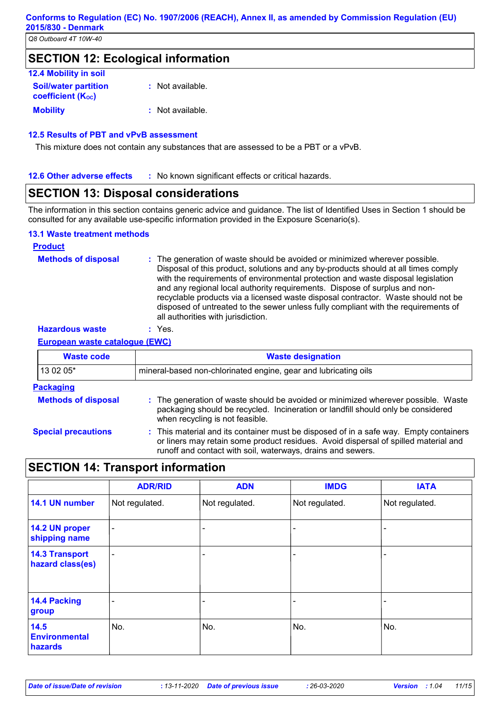## **SECTION 12: Ecological information**

| <b>12.4 Mobility in soil</b>                            |                  |
|---------------------------------------------------------|------------------|
| <b>Soil/water partition</b><br><b>coefficient (Koc)</b> | : Not available. |
| <b>Mobility</b>                                         | : Not available. |

#### **12.5 Results of PBT and vPvB assessment**

This mixture does not contain any substances that are assessed to be a PBT or a vPvB.

#### **12.6 Other adverse effects** : No known significant effects or critical hazards.

## **SECTION 13: Disposal considerations**

The information in this section contains generic advice and guidance. The list of Identified Uses in Section 1 should be consulted for any available use-specific information provided in the Exposure Scenario(s).

#### **13.1 Waste treatment methods**

| <b>Product</b>             |                                                                                                                                                                                                                                                                                                                                                                                                                                                                                                                                                      |
|----------------------------|------------------------------------------------------------------------------------------------------------------------------------------------------------------------------------------------------------------------------------------------------------------------------------------------------------------------------------------------------------------------------------------------------------------------------------------------------------------------------------------------------------------------------------------------------|
| <b>Methods of disposal</b> | : The generation of waste should be avoided or minimized wherever possible.<br>Disposal of this product, solutions and any by-products should at all times comply<br>with the requirements of environmental protection and waste disposal legislation<br>and any regional local authority requirements. Dispose of surplus and non-<br>recyclable products via a licensed waste disposal contractor. Waste should not be<br>disposed of untreated to the sewer unless fully compliant with the requirements of<br>all authorities with jurisdiction. |
| <b>Hazardous waste</b>     | Yes.                                                                                                                                                                                                                                                                                                                                                                                                                                                                                                                                                 |

**European waste catalogue (EWC)**

| <b>Waste code</b>          | <b>Waste designation</b>                                                                                                                                                                                                                    |
|----------------------------|---------------------------------------------------------------------------------------------------------------------------------------------------------------------------------------------------------------------------------------------|
| 13 02 05*                  | mineral-based non-chlorinated engine, gear and lubricating oils                                                                                                                                                                             |
| <b>Packaging</b>           |                                                                                                                                                                                                                                             |
| <b>Methods of disposal</b> | : The generation of waste should be avoided or minimized wherever possible. Waste<br>packaging should be recycled. Incineration or landfill should only be considered<br>when recycling is not feasible.                                    |
| <b>Special precautions</b> | : This material and its container must be disposed of in a safe way. Empty containers<br>or liners may retain some product residues. Avoid dispersal of spilled material and<br>runoff and contact with soil, waterways, drains and sewers. |

## **SECTION 14: Transport information**

|                                           | <b>ADR/RID</b> | <b>ADN</b>     | <b>IMDG</b>    | <b>IATA</b>    |
|-------------------------------------------|----------------|----------------|----------------|----------------|
| 14.1 UN number                            | Not regulated. | Not regulated. | Not regulated. | Not regulated. |
| 14.2 UN proper<br>shipping name           | $\blacksquare$ |                |                |                |
| <b>14.3 Transport</b><br>hazard class(es) | -              |                |                |                |
| 14.4 Packing<br>group                     |                |                |                |                |
| 14.5<br><b>Environmental</b><br>hazards   | No.            | No.            | No.            | No.            |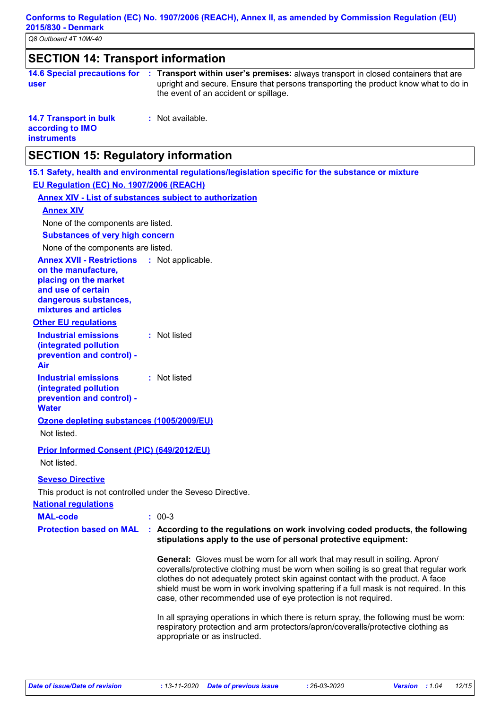*Q8 Outboard 4T 10W-40*

## **SECTION 14: Transport information**

|      | 14.6 Special precautions for : Transport within user's premises: always transport in closed containers that are |
|------|-----------------------------------------------------------------------------------------------------------------|
| user | upright and secure. Ensure that persons transporting the product know what to do in                             |
|      | the event of an accident or spillage.                                                                           |

| <b>14.7 Transport in bulk</b> | : Not available. |
|-------------------------------|------------------|
| according to IMO              |                  |
| <b>instruments</b>            |                  |

## **SECTION 15: Regulatory information**

**15.1 Safety, health and environmental regulations/legislation specific for the substance or mixture**

**EU Regulation (EC) No. 1907/2006 (REACH)**

**Annex XIV - List of substances subject to authorization**

#### **Annex XIV**

None of the components are listed.

**Substances of very high concern**

None of the components are listed.

**Annex XVII - Restrictions** : Not applicable.

**on the manufacture, placing on the market and use of certain dangerous substances, mixtures and articles**

#### **Other EU regulations**

**Industrial emissions (integrated pollution prevention and control) - Air :** Not listed **Industrial emissions :** Not listed

**(integrated pollution prevention and control) - Water**

**Ozone depleting substances (1005/2009/EU)**

Not listed.

**Prior Informed Consent (PIC) (649/2012/EU)**

Not listed.

**Seveso Directive**

This product is not controlled under the Seveso Directive.

#### **National regulations**

| <b>MAL-code</b> | $: 00-3$ |
|-----------------|----------|
|                 |          |

#### **Protection based on MAL : According to the regulations on work involving coded products, the following stipulations apply to the use of personal protective equipment:**

**General:** Gloves must be worn for all work that may result in soiling. Apron/ coveralls/protective clothing must be worn when soiling is so great that regular work clothes do not adequately protect skin against contact with the product. A face shield must be worn in work involving spattering if a full mask is not required. In this case, other recommended use of eye protection is not required.

In all spraying operations in which there is return spray, the following must be worn: respiratory protection and arm protectors/apron/coveralls/protective clothing as appropriate or as instructed.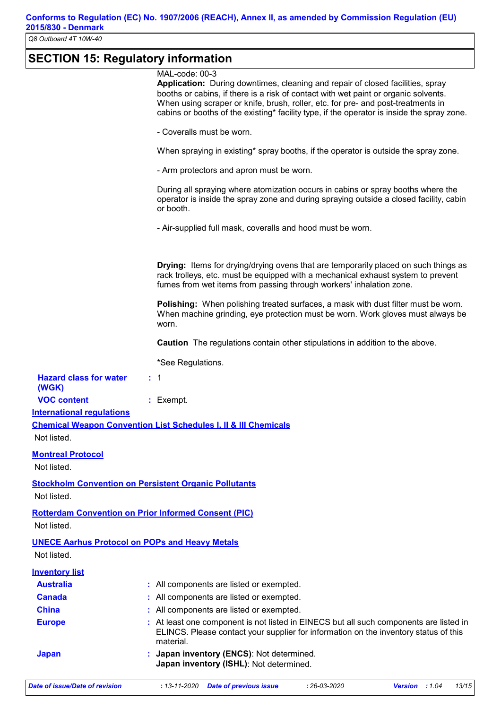## **SECTION 15: Regulatory information**

|                                                        | Japan inventory (ISHL): Not determined.                                                                                                                                        |
|--------------------------------------------------------|--------------------------------------------------------------------------------------------------------------------------------------------------------------------------------|
| <b>Japan</b>                                           | Japan inventory (ENCS): Not determined.                                                                                                                                        |
|                                                        | ELINCS. Please contact your supplier for information on the inventory status of this<br>material.                                                                              |
| <b>Europe</b>                                          | : At least one component is not listed in EINECS but all such components are listed in                                                                                         |
| <b>China</b>                                           | All components are listed or exempted.                                                                                                                                         |
| <b>Canada</b>                                          | All components are listed or exempted.                                                                                                                                         |
| <b>Australia</b>                                       | : All components are listed or exempted.                                                                                                                                       |
| <b>Inventory list</b>                                  |                                                                                                                                                                                |
| Not listed.                                            |                                                                                                                                                                                |
|                                                        | <b>UNECE Aarhus Protocol on POPs and Heavy Metals</b>                                                                                                                          |
| Not listed.                                            |                                                                                                                                                                                |
|                                                        | <b>Rotterdam Convention on Prior Informed Consent (PIC)</b>                                                                                                                    |
| Not listed.                                            |                                                                                                                                                                                |
|                                                        | <b>Stockholm Convention on Persistent Organic Pollutants</b>                                                                                                                   |
| Not listed.                                            |                                                                                                                                                                                |
| <b>Montreal Protocol</b>                               |                                                                                                                                                                                |
|                                                        |                                                                                                                                                                                |
| Not listed.                                            |                                                                                                                                                                                |
|                                                        | <b>Chemical Weapon Convention List Schedules I, II &amp; III Chemicals</b>                                                                                                     |
| <b>VOC content</b><br><b>International regulations</b> | : Exempt.                                                                                                                                                                      |
| (WGK)                                                  |                                                                                                                                                                                |
| <b>Hazard class for water</b>                          | $\cdot$ 1                                                                                                                                                                      |
|                                                        | *See Regulations.                                                                                                                                                              |
|                                                        |                                                                                                                                                                                |
|                                                        | Caution The regulations contain other stipulations in addition to the above.                                                                                                   |
|                                                        | When machine grinding, eye protection must be worn. Work gloves must always be<br>worn.                                                                                        |
|                                                        | <b>Polishing:</b> When polishing treated surfaces, a mask with dust filter must be worn.                                                                                       |
|                                                        | fumes from wet items from passing through workers' inhalation zone.                                                                                                            |
|                                                        | <b>Drying:</b> Items for drying/drying ovens that are temporarily placed on such things as<br>rack trolleys, etc. must be equipped with a mechanical exhaust system to prevent |
|                                                        |                                                                                                                                                                                |
|                                                        |                                                                                                                                                                                |
|                                                        | - Air-supplied full mask, coveralls and hood must be worn.                                                                                                                     |
|                                                        | or booth.                                                                                                                                                                      |
|                                                        | During all spraying where atomization occurs in cabins or spray booths where the<br>operator is inside the spray zone and during spraying outside a closed facility, cabin     |
|                                                        | - Arm protectors and apron must be worn.                                                                                                                                       |
|                                                        | When spraying in existing* spray booths, if the operator is outside the spray zone.                                                                                            |
|                                                        | - Coveralls must be worn.                                                                                                                                                      |
|                                                        | cabins or booths of the existing* facility type, if the operator is inside the spray zone.                                                                                     |
|                                                        | When using scraper or knife, brush, roller, etc. for pre- and post-treatments in                                                                                               |
|                                                        | booths or cabins, if there is a risk of contact with wet paint or organic solvents.                                                                                            |
|                                                        | MAL-code: 00-3<br>Application: During downtimes, cleaning and repair of closed facilities, spray                                                                               |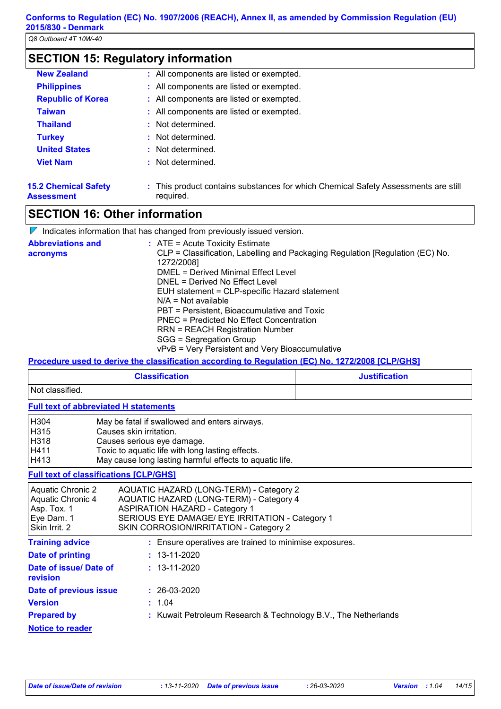$\overline{\phantom{0}}$ 

| <b>New Zealand</b>                               | : All components are listed or exempted.                                                        |
|--------------------------------------------------|-------------------------------------------------------------------------------------------------|
| <b>Philippines</b>                               | : All components are listed or exempted.                                                        |
| <b>Republic of Korea</b>                         | : All components are listed or exempted.                                                        |
| <b>Taiwan</b>                                    | : All components are listed or exempted.                                                        |
| <b>Thailand</b>                                  | : Not determined.                                                                               |
| <b>Turkey</b>                                    | : Not determined.                                                                               |
| <b>United States</b>                             | : Not determined.                                                                               |
| <b>Viet Nam</b>                                  | : Not determined.                                                                               |
| <b>15.2 Chemical Safety</b><br><b>Assessment</b> | : This product contains substances for which Chemical Safety Assessments are still<br>required. |

## **SECTION 16: Other information**

|                                      | $\nabla$ Indicates information that has changed from previously issued version.                                                                                         |
|--------------------------------------|-------------------------------------------------------------------------------------------------------------------------------------------------------------------------|
| <b>Abbreviations and</b><br>acronyms | $:$ ATE = Acute Toxicity Estimate<br>CLP = Classification, Labelling and Packaging Regulation [Regulation (EC) No.<br>1272/2008]<br>DMEL = Derived Minimal Effect Level |
|                                      | DNEL = Derived No Effect Level<br>EUH statement = CLP-specific Hazard statement<br>$N/A = Not available$                                                                |
|                                      | PBT = Persistent, Bioaccumulative and Toxic<br>PNEC = Predicted No Effect Concentration                                                                                 |
|                                      | <b>RRN = REACH Registration Number</b><br>SGG = Segregation Group<br>vPvB = Very Persistent and Very Bioaccumulative                                                    |

**Procedure used to derive the classification according to Regulation (EC) No. 1272/2008 [CLP/GHS]**

| <b>Classification</b> | <b>Justification</b> |
|-----------------------|----------------------|
| Not classified.       |                      |

#### **Full text of abbreviated H statements**

| H304 | May be fatal if swallowed and enters airways.           |
|------|---------------------------------------------------------|
| H315 | Causes skin irritation.                                 |
| H318 | Causes serious eye damage.                              |
| H411 | Toxic to aquatic life with long lasting effects.        |
| H413 | May cause long lasting harmful effects to aquatic life. |

#### **Full text of classifications [CLP/GHS]**

| Aquatic Chronic 2<br>Aquatic Chronic 4<br>Asp. Tox. 1<br>Eye Dam. 1<br>Skin Irrit. 2 | AQUATIC HAZARD (LONG-TERM) - Category 2<br>AQUATIC HAZARD (LONG-TERM) - Category 4<br><b>ASPIRATION HAZARD - Category 1</b><br>SERIOUS EYE DAMAGE/ EYE IRRITATION - Category 1<br>SKIN CORROSION/IRRITATION - Category 2 |
|--------------------------------------------------------------------------------------|--------------------------------------------------------------------------------------------------------------------------------------------------------------------------------------------------------------------------|
| <b>Training advice</b>                                                               | : Ensure operatives are trained to minimise exposures.                                                                                                                                                                   |
| Date of printing                                                                     | $: 13 - 11 - 2020$                                                                                                                                                                                                       |
| Date of issue/Date of<br>revision                                                    | $: 13 - 11 - 2020$                                                                                                                                                                                                       |
| Date of previous issue                                                               | $: 26-03-2020$                                                                                                                                                                                                           |
| <b>Version</b>                                                                       | : 1.04                                                                                                                                                                                                                   |
| <b>Prepared by</b>                                                                   | : Kuwait Petroleum Research & Technology B.V., The Netherlands                                                                                                                                                           |
| <b>Notice to reader</b>                                                              |                                                                                                                                                                                                                          |